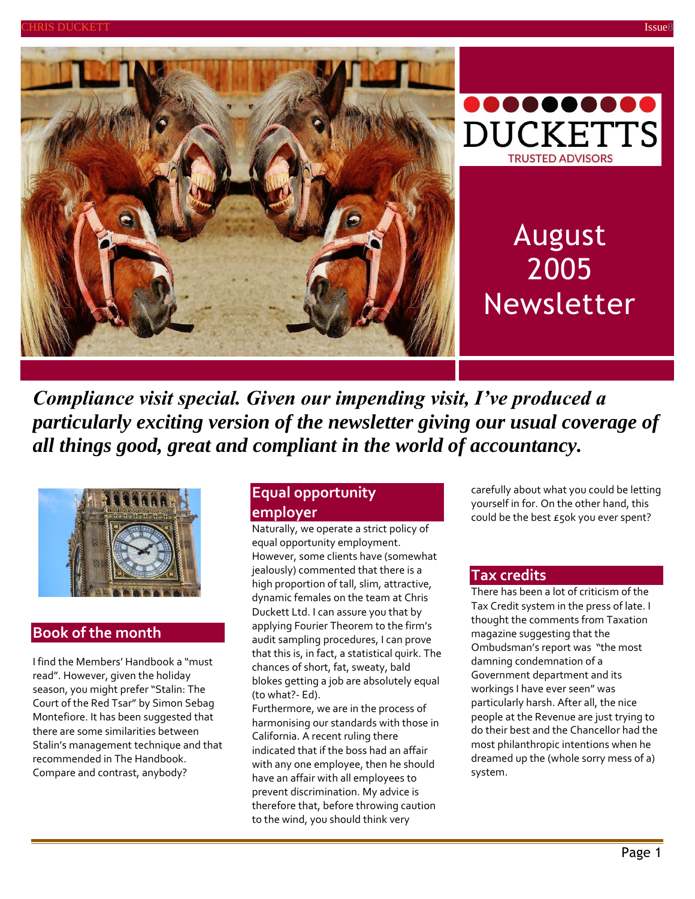



# August 2005 Newsletter

*Compliance visit special. Given our impending visit, I've produced a particularly exciting version of the newsletter giving our usual coverage of all things good, great and compliant in the world of accountancy.*



## **Book of the month**

I find the Members' Handbook a "must read". However, given the holiday season, you might prefer "Stalin: The Court of the Red Tsar" by Simon Sebag Montefiore. It has been suggested that there are some similarities between Stalin's management technique and that recommended in The Handbook. Compare and contrast, anybody?

## **Equal opportunity employer**

Naturally, we operate a strict policy of equal opportunity employment. However, some clients have (somewhat jealously) commented that there is a high proportion of tall, slim, attractive, dynamic females on the team at Chris Duckett Ltd. I can assure you that by applying Fourier Theorem to the firm's audit sampling procedures, I can prove that this is, in fact, a statistical quirk. The chances of short, fat, sweaty, bald blokes getting a job are absolutely equal (to what?- Ed).

Furthermore, we are in the process of harmonising our standards with those in California. A recent ruling there indicated that if the boss had an affair with any one employee, then he should have an affair with all employees to prevent discrimination. My advice is therefore that, before throwing caution to the wind, you should think very

carefully about what you could be letting yourself in for. On the other hand, this could be the best £50k you ever spent?

## **Tax credits**

There has been a lot of criticism of the Tax Credit system in the press of late. I thought the comments from Taxation magazine suggesting that the Ombudsman's report was "the most damning condemnation of a Government department and its workings I have ever seen" was particularly harsh. After all, the nice people at the Revenue are just trying to do their best and the Chancellor had the most philanthropic intentions when he dreamed up the (whole sorry mess of a) system.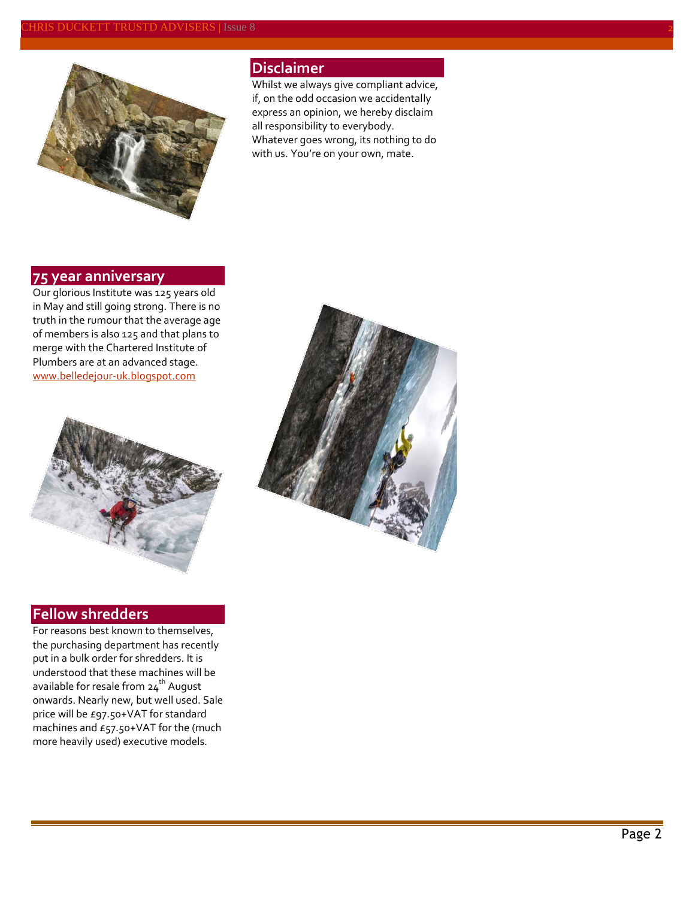#### CHRIS DUCKETT TRUSTD ADVISERS | Issue 8 2



## **Disclaimer**

Whilst we always give compliant advice, if, on the odd occasion we accidentally express an opinion, we hereby disclaim all responsibility to everybody. Whatever goes wrong, its nothing to do with us. You're on your own, mate.

## **75 year anniversary**

Our glorious Institute was 125 years old in May and still going strong. There is no truth in the rumour that the average age of members is also 125 and that plans to merge with the Chartered Institute of Plumbers are at an advanced stage. [www.belledejour-uk.blogspot.com](http://www.belledejour-uk.blogspot.com/)



## **Fellow shredders**

For reasons best known to themselves, the purchasing department has recently put in a bulk order for shredders. It is understood that these machines will be available for resale from 24<sup>th</sup> August onwards. Nearly new, but well used. Sale price will be £97.50+VAT for standard machines and £57.50+VAT for the (much more heavily used) executive models.